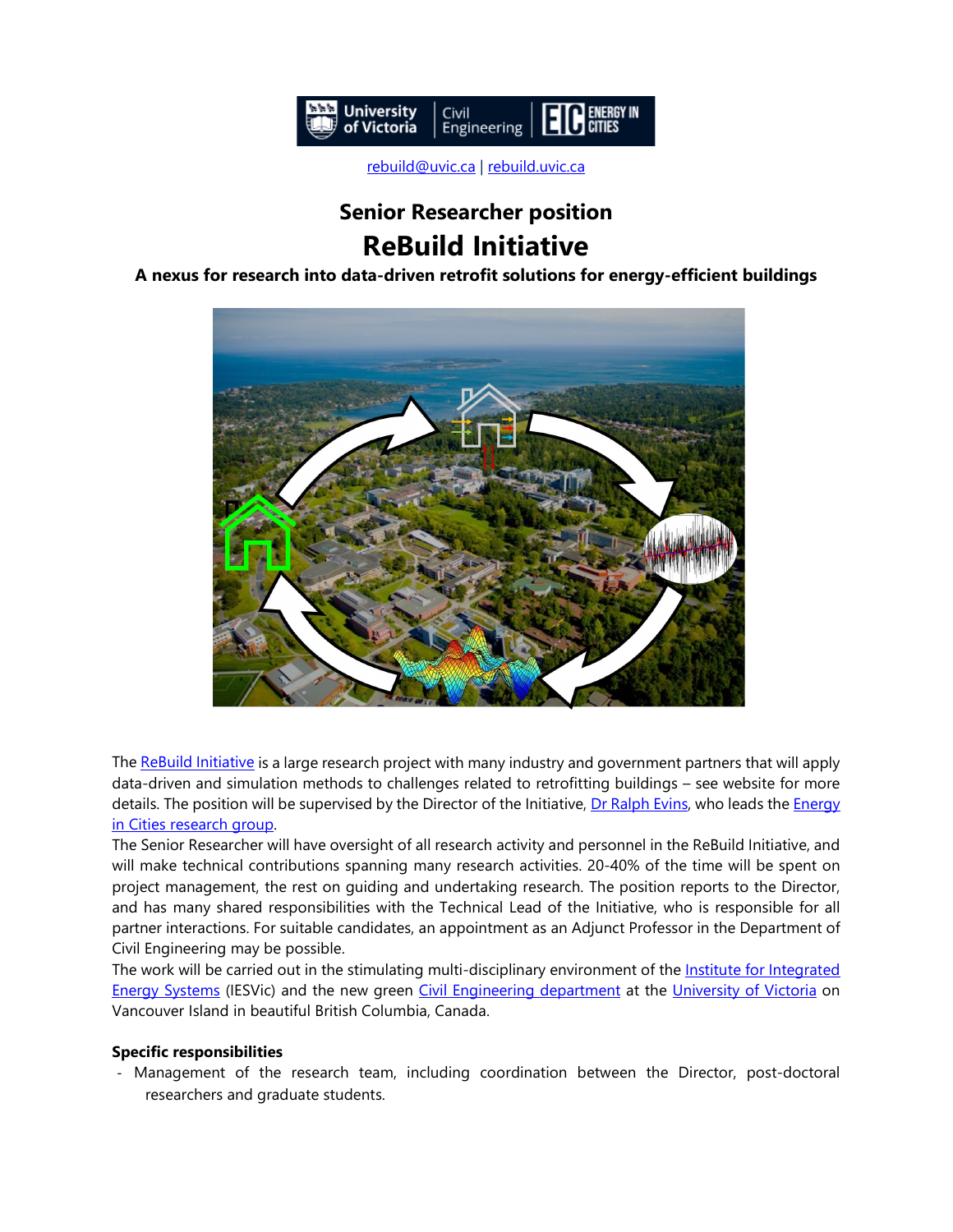

[rebuild@uvic.ca](mailto:rebuild@uvic.ca) | [rebuild.uvic.ca](http://rebuild.uvic.ca/)

## **Senior Researcher position ReBuild Initiative**

**A nexus for research into data-driven retrofit solutions for energy-efficient buildings**



Th[e ReBuild Initiative](https://rebuild.uvic.ca/) is a large research project with many industry and government partners that will apply data-driven and simulation methods to challenges related to retrofitting buildings – see website for more details. The position will be supervised by the Director of the Initiative, [Dr Ralph Evins,](https://energyincities.gitlab.io/website/files/cvs/evins.pdf) who leads the Energy [in Cities research group.](https://energyincities.gitlab.io/website/)

The Senior Researcher will have oversight of all research activity and personnel in the ReBuild Initiative, and will make technical contributions spanning many research activities. 20-40% of the time will be spent on project management, the rest on guiding and undertaking research. The position reports to the Director, and has many shared responsibilities with the Technical Lead of the Initiative, who is responsible for all partner interactions. For suitable candidates, an appointment as an Adjunct Professor in the Department of Civil Engineering may be possible.

The work will be carried out in the stimulating multi-disciplinary environment of the Institute for Integrated [Energy Systems](http://www.uvic.ca/iesvic) (IESVic) and the new green [Civil Engineering department](https://www.uvic.ca/engineering/civil/) at the [University of Victoria](https://www.uvic.ca/) on Vancouver Island in beautiful British Columbia, Canada.

## **Specific responsibilities**

- Management of the research team, including coordination between the Director, post-doctoral researchers and graduate students.